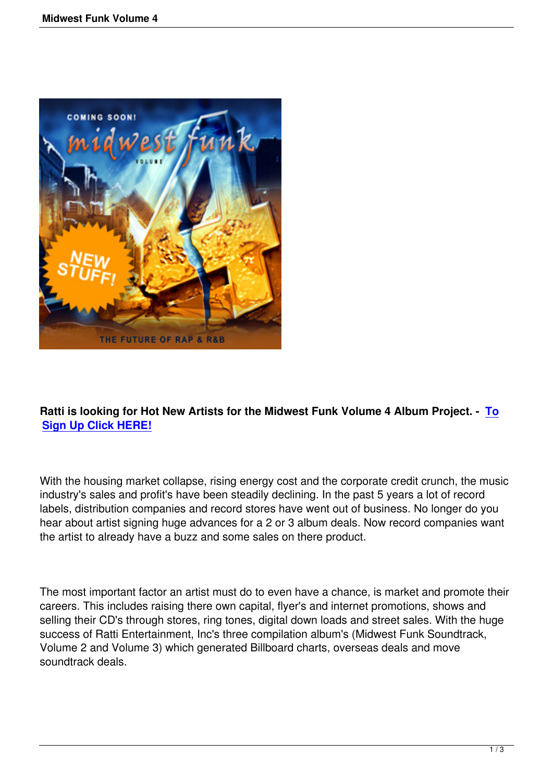

## **Ratti is looking for Hot New Artists for the Midwest Funk Volume 4 Album Project. - To Sign Up Click HERE!**

[With the housing marke](index.php?option=com_chronocontact&chronoformname=midwest4-signup)t collapse, rising energy cost and the corporate credit crunch, the music industry's sales and profit's have been steadily declining. In the past 5 years a lot of record labels, distribution companies and record stores have went out of business. No longer do you hear about artist signing huge advances for a 2 or 3 album deals. Now record companies want the artist to already have a buzz and some sales on there product.

The most important factor an artist must do to even have a chance, is market and promote their careers. This includes raising there own capital, flyer's and internet promotions, shows and selling their CD's through stores, ring tones, digital down loads and street sales. With the huge success of Ratti Entertainment, Inc's three compilation album's (Midwest Funk Soundtrack, Volume 2 and Volume 3) which generated Billboard charts, overseas deals and move soundtrack deals.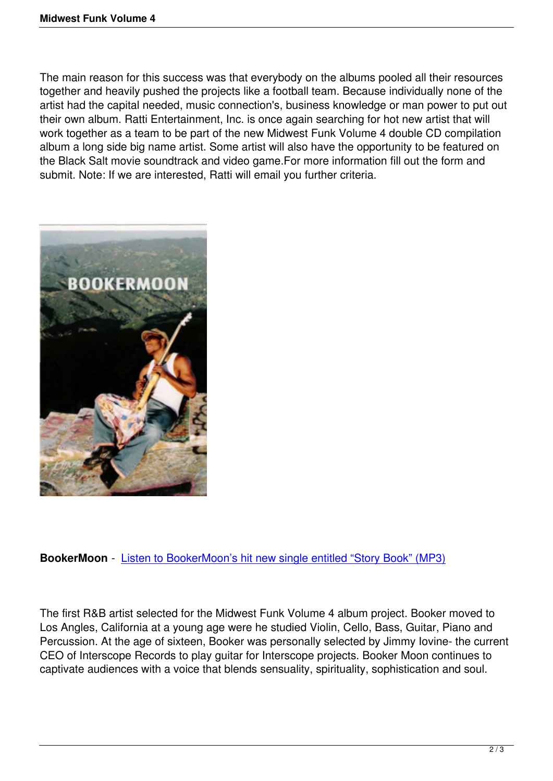The main reason for this success was that everybody on the albums pooled all their resources together and heavily pushed the projects like a football team. Because individually none of the artist had the capital needed, music connection's, business knowledge or man power to put out their own album. Ratti Entertainment, Inc. is once again searching for hot new artist that will work together as a team to be part of the new Midwest Funk Volume 4 double CD compilation album a long side big name artist. Some artist will also have the opportunity to be featured on the Black Salt movie soundtrack and video game.For more information fill out the form and submit. Note: If we are interested, Ratti will email you further criteria.



**BookerMoon** - Listen to BookerMoon's hit new single entitled "Story Book" (MP3)

The first R&B ar[tist selected for the Midwest Funk Volume 4 album project. Booker](media/11_Storybook_1.mp3) moved to Los Angles, California at a young age were he studied Violin, Cello, Bass, Guitar, Piano and Percussion. At the age of sixteen, Booker was personally selected by Jimmy Iovine- the current CEO of Interscope Records to play guitar for Interscope projects. Booker Moon continues to captivate audiences with a voice that blends sensuality, spirituality, sophistication and soul.